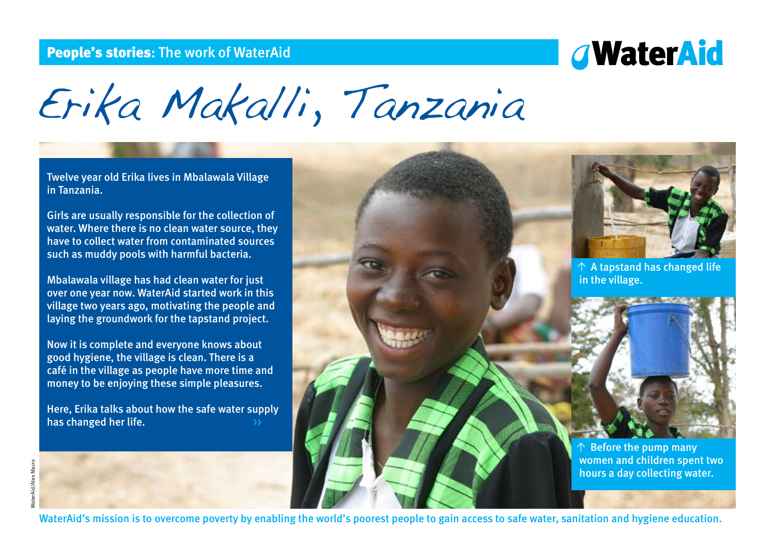# *A***WaterAid**

Erika Makalli, Tanzania

Twelve year old Erika lives in Mbalawala Village in Tanzania.

Girls are usually responsible for the collection of water. Where there is no clean water source, they have to collect water from contaminated sources such as muddy pools with harmful bacteria.

Mbalawala village has had clean water for just over one year now. WaterAid started work in this village two years ago, motivating the people and laying the groundwork for the tapstand project.

Now it is complete and everyone knows about good hygiene, the village is clean. There is a café in the village as people have more time and money to be enjoying these simple pleasures.

Here, Erika talks about how the safe water supply has changed her life.

 $\uparrow$  A tapstand has changed life in the village.

 $\uparrow$  Before the pump many women and children spent two hours a day collecting water.

WaterAid/Alex Macro VaterAid/Alex Mao

WaterAid's mission is to overcome poverty by enabling the world's poorest people to gain access to safe water, sanitation and hygiene education.